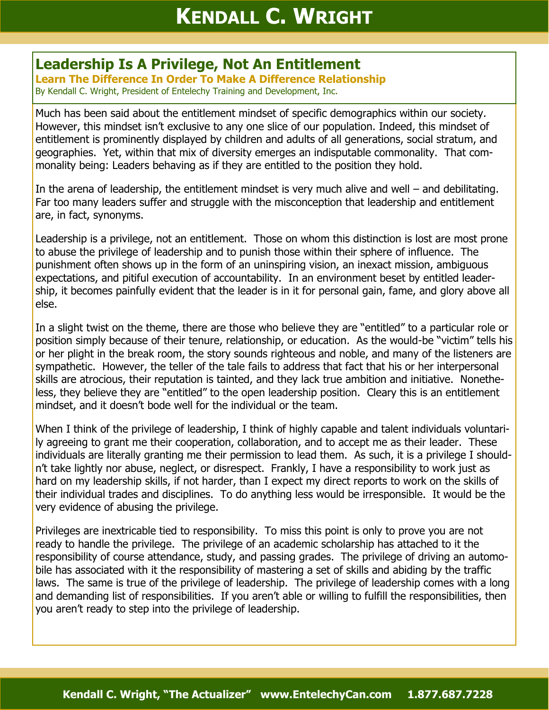## **Leadership Is A Privilege, Not An Entitlement**

**Learn The Difference In Order To Make A Difference Relationship** By Kendall C. Wright, President of Entelechy Training and Development, Inc.

Much has been said about the entitlement mindset of specific demographics within our society. However, this mindset isn't exclusive to any one slice of our population. Indeed, this mindset of entitlement is prominently displayed by children and adults of all generations, social stratum, and geographies. Yet, within that mix of diversity emerges an indisputable commonality. That commonality being: Leaders behaving as if they are entitled to the position they hold.

In the arena of leadership, the entitlement mindset is very much alive and well – and debilitating. Far too many leaders suffer and struggle with the misconception that leadership and entitlement are, in fact, synonyms.

Leadership is a privilege, not an entitlement. Those on whom this distinction is lost are most prone to abuse the privilege of leadership and to punish those within their sphere of influence. The punishment often shows up in the form of an uninspiring vision, an inexact mission, ambiguous expectations, and pitiful execution of accountability. In an environment beset by entitled leadership, it becomes painfully evident that the leader is in it for personal gain, fame, and glory above all else.

In a slight twist on the theme, there are those who believe they are "entitled" to a particular role or position simply because of their tenure, relationship, or education. As the would-be "victim" tells his or her plight in the break room, the story sounds righteous and noble, and many of the listeners are sympathetic. However, the teller of the tale fails to address that fact that his or her interpersonal skills are atrocious, their reputation is tainted, and they lack true ambition and initiative. Nonetheless, they believe they are "entitled" to the open leadership position. Cleary this is an entitlement mindset, and it doesn't bode well for the individual or the team.

When I think of the privilege of leadership, I think of highly capable and talent individuals voluntarily agreeing to grant me their cooperation, collaboration, and to accept me as their leader. These individuals are literally granting me their permission to lead them. As such, it is a privilege I shouldn't take lightly nor abuse, neglect, or disrespect. Frankly, I have a responsibility to work just as hard on my leadership skills, if not harder, than I expect my direct reports to work on the skills of their individual trades and disciplines. To do anything less would be irresponsible. It would be the very evidence of abusing the privilege.

Privileges are inextricable tied to responsibility. To miss this point is only to prove you are not ready to handle the privilege. The privilege of an academic scholarship has attached to it the responsibility of course attendance, study, and passing grades. The privilege of driving an automobile has associated with it the responsibility of mastering a set of skills and abiding by the traffic laws. The same is true of the privilege of leadership. The privilege of leadership comes with a long and demanding list of responsibilities. If you aren't able or willing to fulfill the responsibilities, then you aren't ready to step into the privilege of leadership.